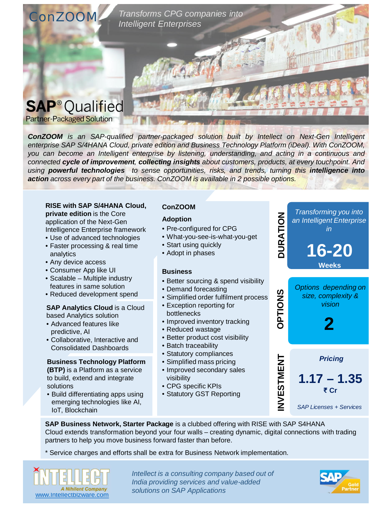

*ConZOOM is an SAP-qualified partner-packaged solution built by Intellect on Next-Gen Intelligent enterprise SAP S/4HANA Cloud, private edition and Business Technology Platform (iDeal). With ConZOOM, you can become an Intelligent enterprise by listening, understanding, and acting in a continuous and connected cycle of improvement, collecting insights about customers, products, at every touchpoint. And using powerful technologies to sense opportunities, risks, and trends, turning this intelligence into action across every part of the business. ConZOOM is available in 2 possible options.*

**RISE with SAP S/4HANA Cloud, private edition** is the Core application of the Next-Gen Intelligence Enterprise framework

- Use of advanced technologies
- Faster processing & real time analytics
- Any device access
- Consumer App like UI
- Scalable Multiple industry features in same solution
- Reduced development spend

#### **SAP Analytics Cloud** is a Cloud based Analytics solution

- Advanced features like predictive, AI
- Collaborative, Interactive and Consolidated Dashboards

#### **Business Technology Platform**

**(BTP)** is a Platform as a service to build, extend and integrate solutions

• Build differentiating apps using emerging technologies like AI, IoT, Blockchain

#### **ConZOOM**

#### **Adoption**

- Pre-configured for CPG
- What-you-see-is-what-you-get
- Start using quickly
- Adopt in phases

#### **Business**

- Better sourcing & spend visibility
- Demand forecasting
- Simplified order fulfilment process
- Exception reporting for bottlenecks
- Improved inventory tracking
- Reduced wastage
- Better product cost visibility
- Batch traceability
- Statutory compliances
- Simplified mass pricing
- Improved secondary sales visibility
- CPG specific KPIs
- Statutory GST Reporting



**SAP Business Network, Starter Package** is a clubbed offering with RISE with SAP S4HANA Cloud extends transformation beyond your four walls – creating dynamic, digital connections with trading partners to help you move business forward faster than before.

\* Service charges and efforts shall be extra for Business Network implementation.



*Intellect is a consulting company based out of India providing services and value-added*